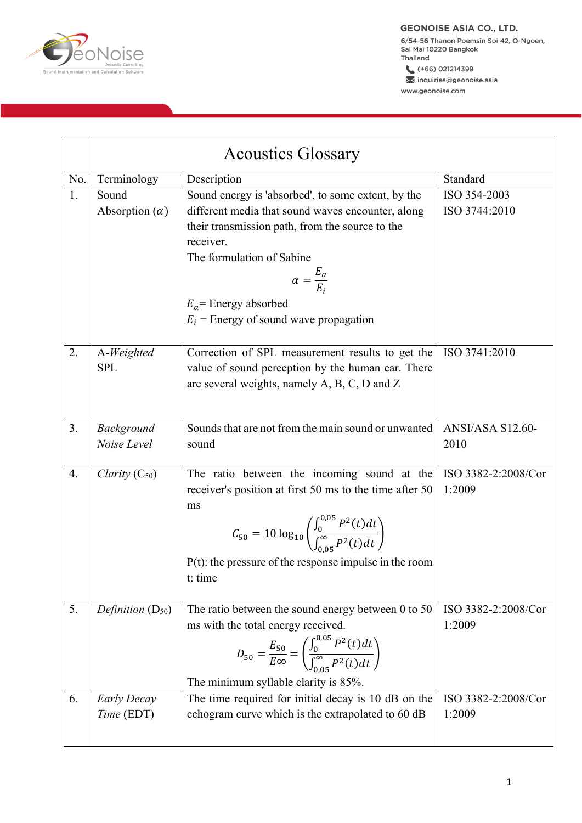

6/54-56 Thanon Poemsin Soi 42, O-Ngoen, Sai Mai 10220 Bangkok Thailand

 $( +66) 021214399$ inquiries@geonoise.asia www.geonoise.com

|     | <b>Acoustics Glossary</b>        |                                                                                                                                                                                                                                                                                                           |                               |  |
|-----|----------------------------------|-----------------------------------------------------------------------------------------------------------------------------------------------------------------------------------------------------------------------------------------------------------------------------------------------------------|-------------------------------|--|
| No. | Terminology                      | Description                                                                                                                                                                                                                                                                                               | Standard                      |  |
| 1.  | Sound<br>Absorption $(\alpha)$   | Sound energy is 'absorbed', to some extent, by the<br>different media that sound waves encounter, along<br>their transmission path, from the source to the<br>receiver.<br>The formulation of Sabine<br>$\alpha = \frac{E_a}{E_a}$<br>$E_a$ = Energy absorbed<br>$E_i$ = Energy of sound wave propagation | ISO 354-2003<br>ISO 3744:2010 |  |
| 2.  | A-Weighted<br><b>SPL</b>         | Correction of SPL measurement results to get the<br>value of sound perception by the human ear. There<br>are several weights, namely A, B, C, D and Z                                                                                                                                                     | ISO 3741:2010                 |  |
| 3.  | Background<br>Noise Level        | Sounds that are not from the main sound or unwanted<br>sound                                                                                                                                                                                                                                              | ANSI/ASA S12.60-<br>2010      |  |
| 4.  | Clarity $(C_{50})$               | The ratio between the incoming sound at the<br>receiver's position at first 50 ms to the time after 50<br>ms<br>$C_{50} = 10 \log_{10} \left( \frac{\int_0^{\upsilon/0.5} P^2(t) dt}{\int_{0.05}^{\infty} P^2(t) dt} \right)$<br>$P(t)$ : the pressure of the response impulse in the room<br>t: time     | ISO 3382-2:2008/Cor<br>1:2009 |  |
| 5.  | Definition $(D_{50})$            | The ratio between the sound energy between $0$ to $50$<br>ms with the total energy received.<br>$D_{50} = \frac{E_{50}}{E\infty} = \left(\frac{\int_0^{\upsilon, \upsilon} P^2(t) dt}{\int_{0.05}^{\infty} P^2(t) dt}\right)$<br>The minimum syllable clarity is 85%.                                     | ISO 3382-2:2008/Cor<br>1:2009 |  |
| 6.  | <b>Early Decay</b><br>Time (EDT) | The time required for initial decay is 10 dB on the<br>echogram curve which is the extrapolated to 60 dB                                                                                                                                                                                                  | ISO 3382-2:2008/Cor<br>1:2009 |  |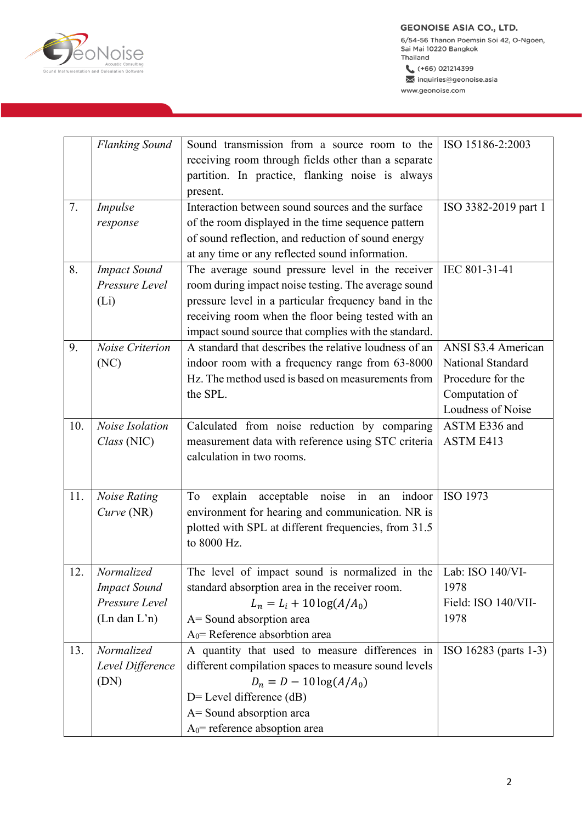

6/54-56 Thanon Poemsin Soi 42, O-Ngoen,<br>Sai Mai 10220 Bangkok<br>Thailand  $( +66) 021214399$ 

inquiries@geonoise.asia www.geonoise.com

|     | <b>Flanking Sound</b>     | Sound transmission from a source room to the                    | ISO 15186-2:2003      |
|-----|---------------------------|-----------------------------------------------------------------|-----------------------|
|     |                           | receiving room through fields other than a separate             |                       |
|     |                           | partition. In practice, flanking noise is always                |                       |
|     |                           | present.                                                        |                       |
| 7.  | Impulse                   | Interaction between sound sources and the surface               | ISO 3382-2019 part 1  |
|     | response                  | of the room displayed in the time sequence pattern              |                       |
|     |                           | of sound reflection, and reduction of sound energy              |                       |
|     |                           | at any time or any reflected sound information.                 |                       |
| 8.  | <b>Impact Sound</b>       | The average sound pressure level in the receiver                | IEC 801-31-41         |
|     | Pressure Level            | room during impact noise testing. The average sound             |                       |
|     | (L <sub>i</sub> )         | pressure level in a particular frequency band in the            |                       |
|     |                           | receiving room when the floor being tested with an              |                       |
|     |                           | impact sound source that complies with the standard.            |                       |
| 9.  | Noise Criterion           | A standard that describes the relative loudness of an           | ANSI S3.4 American    |
|     | (NC)                      | indoor room with a frequency range from 63-8000                 | National Standard     |
|     |                           | Hz. The method used is based on measurements from               | Procedure for the     |
|     |                           | the SPL.                                                        | Computation of        |
|     |                           |                                                                 | Loudness of Noise     |
| 10. | Noise Isolation           | Calculated from noise reduction by comparing                    | ASTM E336 and         |
|     | Class (NIC)               | measurement data with reference using STC criteria              | ASTM E413             |
|     |                           | calculation in two rooms.                                       |                       |
|     |                           |                                                                 |                       |
|     |                           |                                                                 |                       |
| 11. | <b>Noise Rating</b>       | in<br>explain<br>acceptable noise<br>indoor<br>To<br>an         | ISO 1973              |
|     | Curve (NR)                | environment for hearing and communication. NR is                |                       |
|     |                           | plotted with SPL at different frequencies, from 31.5            |                       |
|     |                           | to 8000 Hz.                                                     |                       |
|     |                           |                                                                 |                       |
| 12  | Normalized                | The level of impact sound is normalized in the Lab: ISO 140/VI- |                       |
|     | <b>Impact Sound</b>       | standard absorption area in the receiver room.                  | 1978                  |
|     | Pressure Level            | $L_n = L_i + 10 \log(A/A_0)$                                    | Field: ISO 140/VII-   |
|     | $(Ln \, \text{dan } L'n)$ | A = Sound absorption area                                       | 1978                  |
|     |                           | $A0$ = Reference absorbtion area                                |                       |
| 13. | Normalized                | A quantity that used to measure differences in                  | ISO 16283 (parts 1-3) |
|     | Level Difference          | different compilation spaces to measure sound levels            |                       |
|     | (DN)                      | $D_n = D - 10 \log(A/A_0)$                                      |                       |
|     |                           | $D$ = Level difference (dB)                                     |                       |
|     |                           | A= Sound absorption area                                        |                       |
|     |                           | $A_0$ = reference absoption area                                |                       |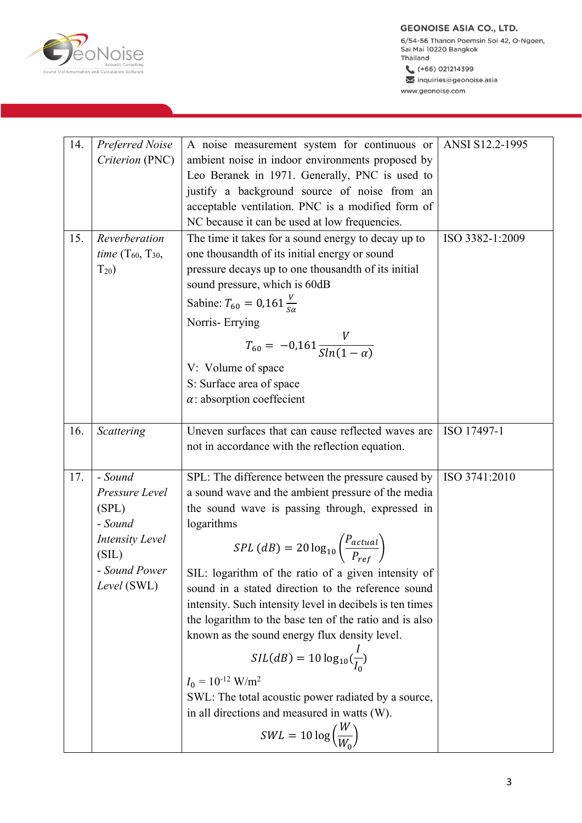**MOISE** 

6/54-56 Thanon Poemsin Soi 42, O-Ngoen,<br>Sai Mai 10220 Bangkok Thailand

 $( +66) 021214399$ inquiries@geonoise.asia www.geonoise.com

| 14. | Preferred Noise                 | A noise measurement system for continuous or                       | ANSI S12.2-1995 |
|-----|---------------------------------|--------------------------------------------------------------------|-----------------|
|     | Criterion (PNC)                 | ambient noise in indoor environments proposed by                   |                 |
|     |                                 | Leo Beranek in 1971. Generally, PNC is used to                     |                 |
|     |                                 | justify a background source of noise from an                       |                 |
|     |                                 | acceptable ventilation. PNC is a modified form of                  |                 |
|     |                                 | NC because it can be used at low frequencies.                      |                 |
| 15. | Reverberation                   | The time it takes for a sound energy to decay up to                | ISO 3382-1:2009 |
|     | <i>time</i> $(T_{60}, T_{30},$  | one thousandth of its initial energy or sound                      |                 |
|     | $T_{20}$                        | pressure decays up to one thousandth of its initial                |                 |
|     |                                 | sound pressure, which is 60dB                                      |                 |
|     |                                 | Sabine: $T_{60} = 0.161 \frac{V}{S_{\alpha}}$                      |                 |
|     |                                 | Norris-Errying                                                     |                 |
|     |                                 |                                                                    |                 |
|     |                                 | $T_{60} = -0.161 \frac{V}{Sln(1-\alpha)}$                          |                 |
|     |                                 | V: Volume of space                                                 |                 |
|     |                                 | S: Surface area of space                                           |                 |
|     |                                 | $\alpha$ : absorption coeffecient                                  |                 |
|     |                                 |                                                                    |                 |
| 16. | Scattering                      | Uneven surfaces that can cause reflected waves are                 | ISO 17497-1     |
|     |                                 | not in accordance with the reflection equation.                    |                 |
| 17. | - Sound                         | SPL: The difference between the pressure caused by                 | ISO 3741:2010   |
|     | Pressure Level                  | a sound wave and the ambient pressure of the media                 |                 |
|     | (SPL)                           | the sound wave is passing through, expressed in                    |                 |
|     | - Sound                         | logarithms                                                         |                 |
|     | <b>Intensity Level</b><br>(SIL) | $SPL(dB) = 20 \log_{10} \left( \frac{P_{actual}}{P_{ref}} \right)$ |                 |
|     | Sound Power                     |                                                                    |                 |
|     | Level (SWL)                     | SIL: logarithm of the ratio of a given intensity of                |                 |
|     |                                 | sound in a stated direction to the reference sound                 |                 |
|     |                                 | intensity. Such intensity level in decibels is ten times           |                 |
|     |                                 | the logarithm to the base ten of the ratio and is also             |                 |
|     |                                 | known as the sound energy flux density level.                      |                 |
|     |                                 | $SIL(dB) = 10 \log_{10}(\frac{I}{I_0})$                            |                 |
|     |                                 | $I_0 = 10^{-12}$ W/m <sup>2</sup>                                  |                 |
|     |                                 | SWL: The total acoustic power radiated by a source,                |                 |
|     |                                 | in all directions and measured in watts (W).                       |                 |
|     |                                 | $SWL = 10 \log \left(\frac{W}{W_0}\right)$                         |                 |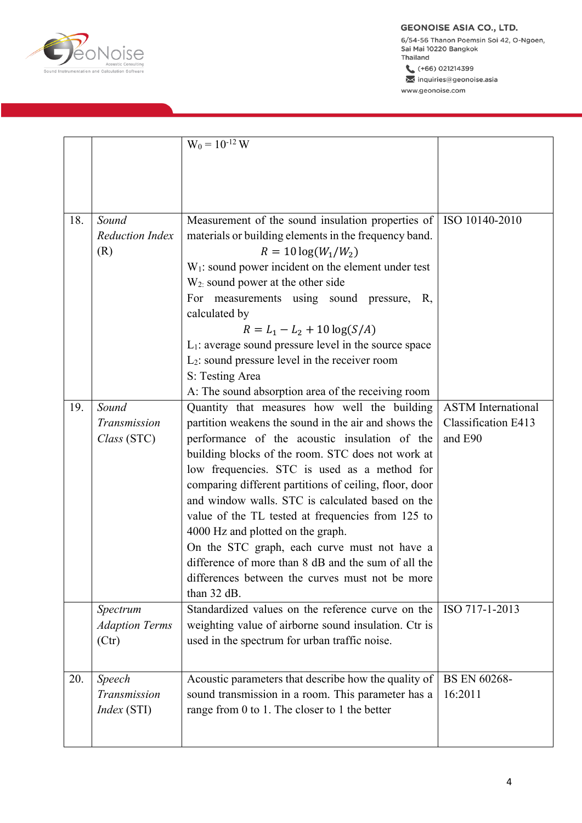**PONOISE** 

6/54-56 Thanon Poemsin Soi 42, O-Ngoen, Sai Mai 10220 Bangkok Thailand

 $( +66) 021214399$ 

inquiries@geonoise.asia www.geonoise.com

|     |                                            | $W_0 = 10^{-12} W$                                                                                                                                                                                                                                                                                                                                                                                                                                                                                                                                                                                                                                                                                |                                                                    |
|-----|--------------------------------------------|---------------------------------------------------------------------------------------------------------------------------------------------------------------------------------------------------------------------------------------------------------------------------------------------------------------------------------------------------------------------------------------------------------------------------------------------------------------------------------------------------------------------------------------------------------------------------------------------------------------------------------------------------------------------------------------------------|--------------------------------------------------------------------|
|     |                                            |                                                                                                                                                                                                                                                                                                                                                                                                                                                                                                                                                                                                                                                                                                   |                                                                    |
| 18. | Sound<br><b>Reduction Index</b><br>(R)     | Measurement of the sound insulation properties of<br>materials or building elements in the frequency band.<br>$R = 10 \log(W_1/W_2)$<br>$W1$ : sound power incident on the element under test<br>$W2$ : sound power at the other side<br>For measurements using sound pressure, R,<br>calculated by<br>$R = L_1 - L_2 + 10 \log(S/A)$<br>$L_1$ : average sound pressure level in the source space<br>$L_2$ : sound pressure level in the receiver room<br>S: Testing Area                                                                                                                                                                                                                         | ISO 10140-2010                                                     |
| 19. | Sound<br>Transmission<br>Class (STC)       | A: The sound absorption area of the receiving room<br>Quantity that measures how well the building<br>partition weakens the sound in the air and shows the<br>performance of the acoustic insulation of the<br>building blocks of the room. STC does not work at<br>low frequencies. STC is used as a method for<br>comparing different partitions of ceiling, floor, door<br>and window walls. STC is calculated based on the<br>value of the TL tested at frequencies from 125 to<br>4000 Hz and plotted on the graph.<br>On the STC graph, each curve must not have a<br>difference of more than 8 dB and the sum of all the<br>differences between the curves must not be more<br>than 32 dB. | <b>ASTM</b> International<br><b>Classification E413</b><br>and E90 |
|     | Spectrum<br><b>Adaption Terms</b><br>(Ctr) | Standardized values on the reference curve on the<br>weighting value of airborne sound insulation. Ctr is<br>used in the spectrum for urban traffic noise.                                                                                                                                                                                                                                                                                                                                                                                                                                                                                                                                        | ISO 717-1-2013                                                     |
| 20. | Speech<br>Transmission<br>Index (STI)      | Acoustic parameters that describe how the quality of<br>sound transmission in a room. This parameter has a<br>range from 0 to 1. The closer to 1 the better                                                                                                                                                                                                                                                                                                                                                                                                                                                                                                                                       | <b>BS EN 60268-</b><br>16:2011                                     |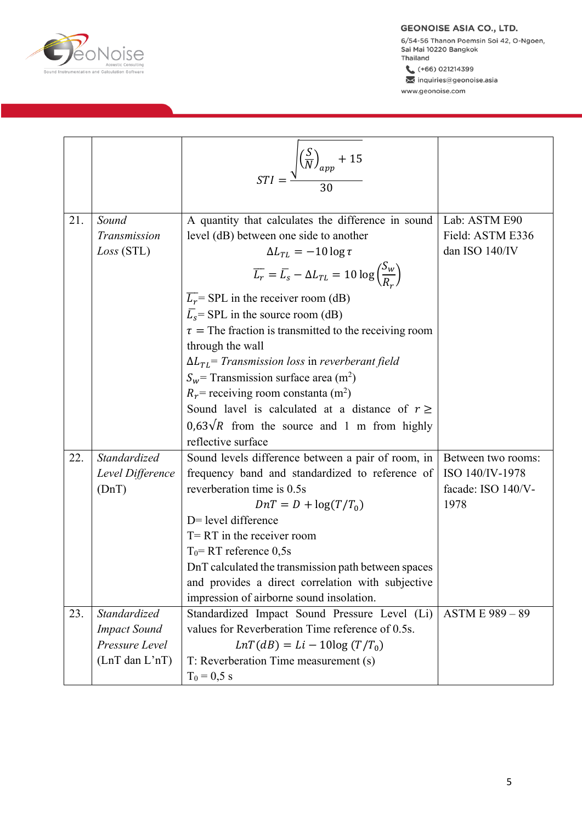

6/54-56 Thanon Poemsin Soi 42, O-Ngoen, Sai Mai 10220 Bangkok Thailand

 $( +66) 021214399$ inquiries@geonoise.asia www.geonoise.com

|     |                                                                                 | $STI = \frac{\sqrt{\left(\frac{S}{N}\right)_{app} + 15}}{30}$                                                                                                                                                                                                                                                                                                                                                                                                                                                                                                                                                                                                                                          |                                                                     |
|-----|---------------------------------------------------------------------------------|--------------------------------------------------------------------------------------------------------------------------------------------------------------------------------------------------------------------------------------------------------------------------------------------------------------------------------------------------------------------------------------------------------------------------------------------------------------------------------------------------------------------------------------------------------------------------------------------------------------------------------------------------------------------------------------------------------|---------------------------------------------------------------------|
| 21. | Sound<br>Transmission<br>Loss(STL)                                              | A quantity that calculates the difference in sound<br>level (dB) between one side to another<br>$\Delta L_{TL} = -10 \log \tau$<br>$\overline{L_r} = \overline{L_s} - \Delta L_{TL} = 10 \log \left( \frac{S_w}{R_r} \right)$<br>$\overline{L_r}$ SPL in the receiver room (dB)<br>$\overline{L_s}$ = SPL in the source room (dB)<br>$\tau$ = The fraction is transmitted to the receiving room<br>through the wall<br>$\Delta L_{TL}$ Transmission loss in reverberant field<br>$S_w$ = Transmission surface area (m <sup>2</sup> )<br>$R_r$ = receiving room constanta (m <sup>2</sup> )<br>Sound lavel is calculated at a distance of $r \ge$<br>$0.63\sqrt{R}$ from the source and 1 m from highly | Lab: ASTM E90<br>Field: ASTM E336<br>dan ISO 140/IV                 |
|     |                                                                                 | reflective surface                                                                                                                                                                                                                                                                                                                                                                                                                                                                                                                                                                                                                                                                                     |                                                                     |
| 22. | Standardized<br>Level Difference<br>(DnT)                                       | Sound levels difference between a pair of room, in<br>frequency band and standardized to reference of<br>reverberation time is 0.5s<br>$DnT = D + \log(T/T_0)$<br>D= level difference<br>$T = RT$ in the receiver room<br>$T_0$ = RT reference 0,5s<br>DnT calculated the transmission path between spaces<br>and provides a direct correlation with subjective<br>impression of airborne sound insolation.                                                                                                                                                                                                                                                                                            | Between two rooms:<br>ISO 140/IV-1978<br>facade: ISO 140/V-<br>1978 |
| 23. | Standardized<br><b>Impact Sound</b><br>Pressure Level<br>$(LnT \, dan \, L'nT)$ | Standardized Impact Sound Pressure Level (Li)<br>values for Reverberation Time reference of 0.5s.<br>$LnT(dB) = Li - 10log (T/T_0)$<br>T: Reverberation Time measurement (s)<br>$T_0 = 0.5$ s                                                                                                                                                                                                                                                                                                                                                                                                                                                                                                          | ASTM E 989 - 89                                                     |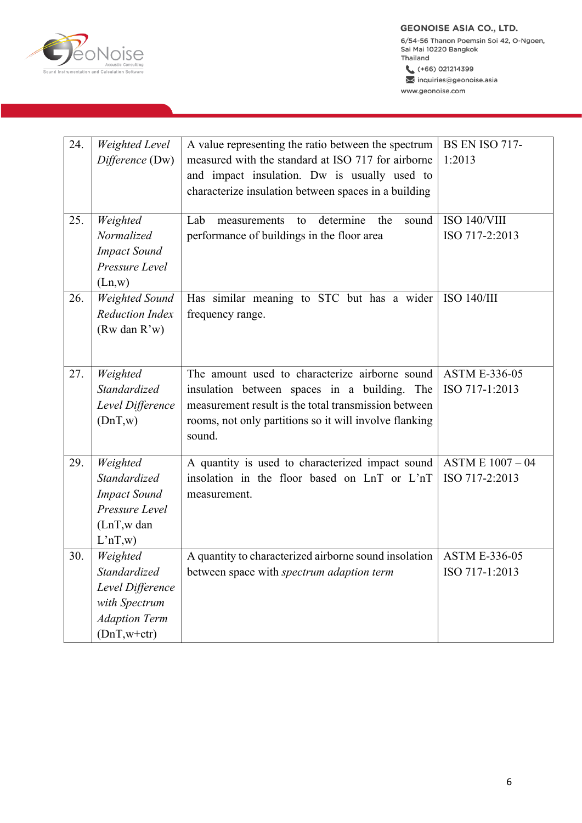

6/54-56 Thanon Poemsin Soi 42, O-Ngoen, Sai Mai 10220 Bangkok Thailand

 $( +66) 021214399$ Minquiries@geonoise.asia www.geonoise.com

| 24. | Weighted Level<br>Difference (Dw)                                                                      | A value representing the ratio between the spectrum<br>measured with the standard at ISO 717 for airborne<br>and impact insulation. Dw is usually used to<br>characterize insulation between spaces in a building          | <b>BS EN ISO 717-</b><br>1:2013        |
|-----|--------------------------------------------------------------------------------------------------------|----------------------------------------------------------------------------------------------------------------------------------------------------------------------------------------------------------------------------|----------------------------------------|
| 25. | Weighted<br>Normalized<br><b>Impact Sound</b><br>Pressure Level<br>(Ln,w)                              | Lab<br>determine<br>the<br>sound<br>measurements<br>to<br>performance of buildings in the floor area                                                                                                                       | ISO 140/VIII<br>ISO 717-2:2013         |
| 26. | <b>Weighted Sound</b><br><b>Reduction Index</b><br>(Rw dan $R'w$ )                                     | Has similar meaning to STC but has a wider<br>frequency range.                                                                                                                                                             | ISO 140/III                            |
| 27. | Weighted<br>Standardized<br>Level Difference<br>(DnT,w)                                                | The amount used to characterize airborne sound<br>insulation between spaces in a building. The<br>measurement result is the total transmission between<br>rooms, not only partitions so it will involve flanking<br>sound. | <b>ASTM E-336-05</b><br>ISO 717-1:2013 |
| 29. | Weighted<br>Standardized<br><b>Impact Sound</b><br>Pressure Level<br>(LnT,w dan<br>L'nT,w)             | A quantity is used to characterized impact sound<br>insolation in the floor based on LnT or L'nT<br>measurement.                                                                                                           | ASTM E 1007 - 04<br>ISO 717-2:2013     |
| 30. | Weighted<br>Standardized<br>Level Difference<br>with Spectrum<br><b>Adaption Term</b><br>$(DnT,w+ctr)$ | A quantity to characterized airborne sound insolation<br>between space with spectrum adaption term                                                                                                                         | <b>ASTM E-336-05</b><br>ISO 717-1:2013 |